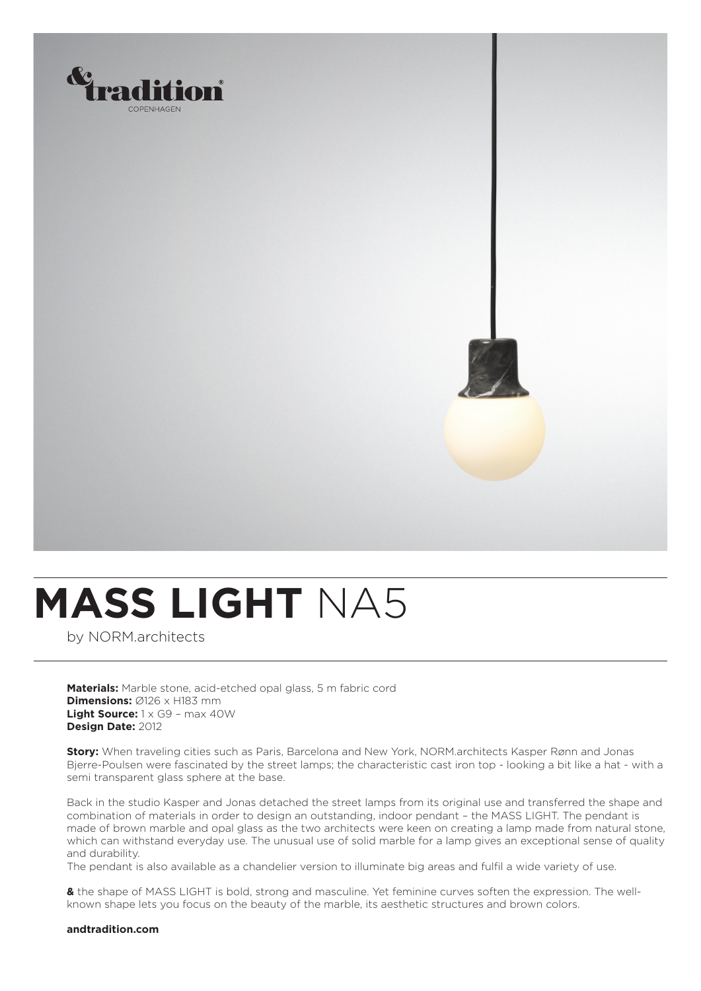

## **MASS LIGHT** NA5

by NORM.architects

**Materials:** Marble stone, acid-etched opal glass, 5 m fabric cord **Dimensions:** Ø126 x H183 mm **Light Source:** 1 x G9 – max 40W **Design Date:** 2012

**Story:** When traveling cities such as Paris, Barcelona and New York, NORM.architects Kasper Rønn and Jonas Bjerre-Poulsen were fascinated by the street lamps; the characteristic cast iron top - looking a bit like a hat - with a semi transparent glass sphere at the base.

Back in the studio Kasper and Jonas detached the street lamps from its original use and transferred the shape and combination of materials in order to design an outstanding, indoor pendant – the MASS LIGHT. The pendant is made of brown marble and opal glass as the two architects were keen on creating a lamp made from natural stone, which can withstand everyday use. The unusual use of solid marble for a lamp gives an exceptional sense of quality and durability.

The pendant is also available as a chandelier version to illuminate big areas and fulfil a wide variety of use.

**&** the shape of MASS LIGHT is bold, strong and masculine. Yet feminine curves soften the expression. The wellknown shape lets you focus on the beauty of the marble, its aesthetic structures and brown colors.

## **andtradition.com**